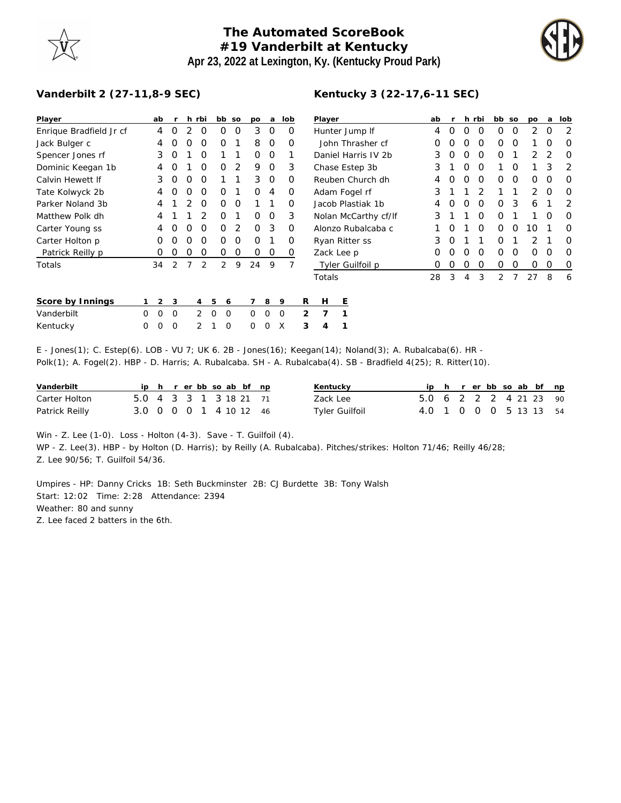## **The Automated ScoreBook #19 Vanderbilt at Kentucky Apr 23, 2022 at Lexington, Ky. (Kentucky Proud Park)**



## **Vanderbilt 2 (27-11,8-9 SEC)**

| Player                  |          | ab       | r              |                | h rbi          |   | bb             | SO             | <b>DO</b> | a        | lob            |   | Player    |         |  |  |  |
|-------------------------|----------|----------|----------------|----------------|----------------|---|----------------|----------------|-----------|----------|----------------|---|-----------|---------|--|--|--|
| Enrique Bradfield Jr cf |          | 4        | Ω              | 2              | O              |   | Ω              | O              | 3         | O        | O              |   | Hunter J  |         |  |  |  |
| Jack Bulger c           |          | 4        | Ω              | O              | Ο              |   | Ω              | 1              | 8         | O        | Ο              |   | John Tl   |         |  |  |  |
| Spencer Jones rf        |          | 3        | Ω              | 1              | O              |   | 1              | 1              | Ω         | O        | 1              |   | Daniel H  |         |  |  |  |
| Dominic Keegan 1b       |          | 4        | ∩              | 1              | O              |   | Ω              | 2              | 9         | Ο        | 3              |   | Chase E:  |         |  |  |  |
| Calvin Hewett If        |          | 3        | Ω              | O              | O              |   | 1              | 1              | 3         | O        | O              |   | Reuben    |         |  |  |  |
| Tate Kolwyck 2b         |          | 4        | ∩              | O              | $\Omega$       |   | Ω              | 1              | Ω         | 4        | O              |   | Adam Fr   |         |  |  |  |
| Parker Noland 3b        |          | 4        | 1              | $\mathfrak{D}$ | O              |   | Ω              | O              | 1         | 1        | O              |   | Jacob Pla |         |  |  |  |
| Matthew Polk dh         |          | 4        |                |                | 2              |   | Ω              | 1              | Ω         | Ω        | 3              |   | Nolan M   |         |  |  |  |
| Carter Young ss         |          | 4        | O              | O              | O              |   | Ω              | $\overline{2}$ | O         | 3        | O              |   | Alonzo F  |         |  |  |  |
| Carter Holton p         |          | O        | Ω              | O              | O              |   | Ω              | O              | O         | 1        | Ω              |   | Ryan Rit  |         |  |  |  |
| Patrick Reilly p        |          | Ο        | Ω              | O              | O              |   | Ο              | O              | Ο         | O        | O              |   | Zack Lee  |         |  |  |  |
| Totals                  |          | 34       | $\overline{2}$ | 7              | 2              |   | $\overline{2}$ | 9              | 24        | 9        | $\overline{7}$ |   |           | Tyler C |  |  |  |
|                         |          |          |                |                |                |   |                |                |           |          |                |   | Totals    |         |  |  |  |
| Score by Innings        | 1        | 2        | 3              |                | 4              | 5 | 6              |                | 7         | 8        | 9              | R | H         | Ε       |  |  |  |
| Vanderbilt              | $\Omega$ | $\Omega$ | $\Omega$       |                | $\mathcal{P}$  | O | $\Omega$       |                | O         | $\Omega$ | O              | 2 | 7         | 1       |  |  |  |
| Kentucky                | Ω        | O        | Ω              |                | $\mathfrak{D}$ | 1 | O              |                | Ω         | Ω        | X              | 3 | 4         | 1       |  |  |  |

| Player               | ab | r |   | h rbi         | bb | <b>SO</b> | po               | a                | lob              |
|----------------------|----|---|---|---------------|----|-----------|------------------|------------------|------------------|
| Hunter Jump If       | 4  | Ω | Ω | Ω             | Ω  | Ω         | 2                | O                | 2                |
| John Thrasher cf     | 0  | Ω | Ω | Ω             | Ω  | Ω         | 1                | O                | $\left( \right)$ |
| Daniel Harris IV 2b  | 3  | Ω | Ω | Ω             | Ω  | 1         | $\mathcal{P}$    | $\mathcal{D}$    | Ω                |
| Chase Estep 3b       | 3  | 1 | Ω | Ω             | 1  | O         | 1                | 3                | 2                |
| Reuben Church dh     | 4  | Ω | Ω | Ω             | Ω  | Ω         | $\left( \right)$ | O                | $\left( \right)$ |
| Adam Fogel rf        | 3  | 1 | 1 | $\mathcal{P}$ | 1  | 1         | 2                | $\left( \right)$ | Ω                |
| Jacob Plastiak 1b    | 4  | Ω | Ω | Ω             | Ω  | 3         | 6                | 1                | 2                |
| Nolan McCarthy cf/lf | 3  | 1 | 1 | Ω             | Ω  | 1         | 1                | O                | Ω                |
| Alonzo Rubalcaba c   | 1  | Ω | 1 | Ω             | ∩  | Ω         | 10               | 1                | 0                |
| Ryan Ritter ss       | 3  | Ω | 1 | 1             | ∩  | 1         | $\mathcal{P}$    | 1                | Ω                |
| Zack Lee p           | 0  | Ω | Ω | Ω             | Ω  | Ω         | Ω                | $\left( \right)$ | Ω                |
| Tyler Guilfoil p     | 0  | Ω | Ω | Ο             | Ω  | Ω         | Ω                | Ω                | O                |
| Totals               | 28 | 3 | 4 | 3             | 2  |           | 27               | 8                | 6                |

| Kentucky                                                                                                  |  | 000 210 00X 341 |  |  |  |  |  |  |
|-----------------------------------------------------------------------------------------------------------|--|-----------------|--|--|--|--|--|--|
| E - Jones(1); C. Estep(6). LOB - VU 7; UK 6. 2B - Jones(16); Keegan(14); Noland(3); A. Rubalcaba(6). HR - |  |                 |  |  |  |  |  |  |

Polk(1); A. Fogel(2). HBP - D. Harris; A. Rubalcaba. SH - A. Rubalcaba(4). SB - Bradfield 4(25); R. Ritter(10).

| Vanderbilt     |                        |  |  | ip h r erbb so ab bf np |  | Kentucky              |                        |  |  |  | ip h r er bb so ab bf np |  |
|----------------|------------------------|--|--|-------------------------|--|-----------------------|------------------------|--|--|--|--------------------------|--|
| Carter Holton  | 5.0 4 3 3 1 3 18 21 71 |  |  |                         |  | Zack Lee              | 5.0 6 2 2 2 4 21 23 90 |  |  |  |                          |  |
| Patrick Reilly | 3.0 0 0 0 1 4 10 12 46 |  |  |                         |  | <b>Tyler Guilfoil</b> | 4.0 1 0 0 0 5 13 13 54 |  |  |  |                          |  |

Win - Z. Lee (1-0). Loss - Holton (4-3). Save - T. Guilfoil (4).

WP - Z. Lee(3). HBP - by Holton (D. Harris); by Reilly (A. Rubalcaba). Pitches/strikes: Holton 71/46; Reilly 46/28; Z. Lee 90/56; T. Guilfoil 54/36.

Umpires - HP: Danny Cricks 1B: Seth Buckminster 2B: CJ Burdette 3B: Tony Walsh Start: 12:02 Time: 2:28 Attendance: 2394 Weather: 80 and sunny Z. Lee faced 2 batters in the 6th.

## **Kentucky 3 (22-17,6-11 SEC)**